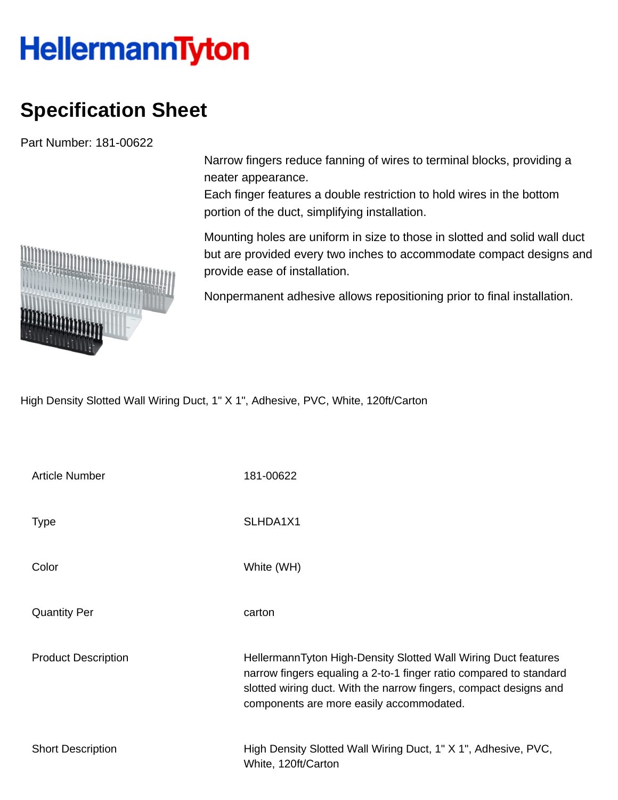## **HellermannTyton**

## **Specification Sheet**

Part Number: 181-00622

Narrow fingers reduce fanning of wires to terminal blocks, providing a neater appearance.

Each finger features a double restriction to hold wires in the bottom portion of the duct, simplifying installation.

Mounting holes are uniform in size to those in slotted and solid wall duct but are provided every two inches to accommodate compact designs and provide ease of installation.

Nonpermanent adhesive allows repositioning prior to final installation.

High Density Slotted Wall Wiring Duct, 1" X 1", Adhesive, PVC, White, 120ft/Carton

| <b>Article Number</b>      | 181-00622                                                                                                                                                                                                                                             |
|----------------------------|-------------------------------------------------------------------------------------------------------------------------------------------------------------------------------------------------------------------------------------------------------|
| <b>Type</b>                | SLHDA1X1                                                                                                                                                                                                                                              |
| Color                      | White (WH)                                                                                                                                                                                                                                            |
| <b>Quantity Per</b>        | carton                                                                                                                                                                                                                                                |
| <b>Product Description</b> | HellermannTyton High-Density Slotted Wall Wiring Duct features<br>narrow fingers equaling a 2-to-1 finger ratio compared to standard<br>slotted wiring duct. With the narrow fingers, compact designs and<br>components are more easily accommodated. |
| <b>Short Description</b>   | High Density Slotted Wall Wiring Duct, 1" X 1", Adhesive, PVC,<br>White, 120ft/Carton                                                                                                                                                                 |

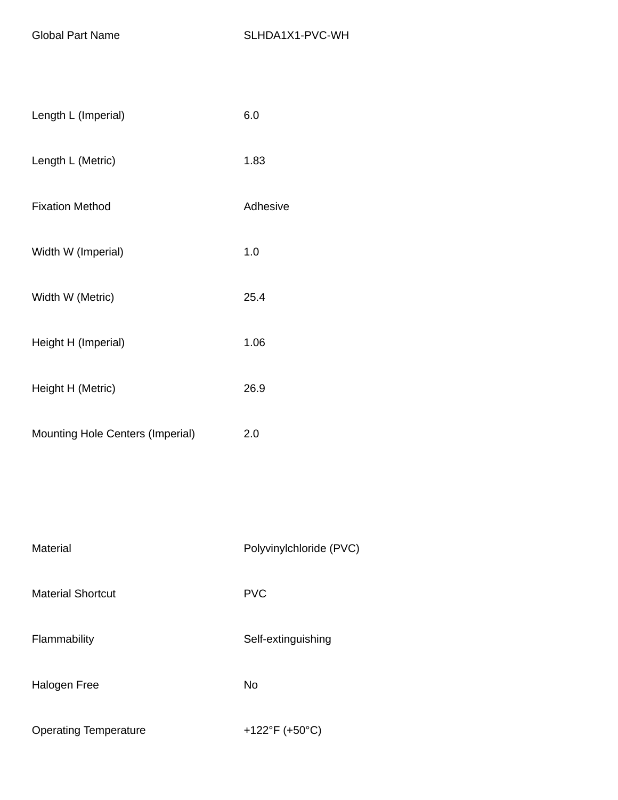| Length L (Imperial)                     | 6.0      |
|-----------------------------------------|----------|
| Length L (Metric)                       | 1.83     |
| <b>Fixation Method</b>                  | Adhesive |
| Width W (Imperial)                      | 1.0      |
| Width W (Metric)                        | 25.4     |
| Height H (Imperial)                     | 1.06     |
| Height H (Metric)                       | 26.9     |
| <b>Mounting Hole Centers (Imperial)</b> | 2.0      |

| Material                     | Polyvinylchloride (PVC) |
|------------------------------|-------------------------|
| <b>Material Shortcut</b>     | <b>PVC</b>              |
| Flammability                 | Self-extinguishing      |
| Halogen Free                 | No                      |
| <b>Operating Temperature</b> | +122°F (+50°C)          |